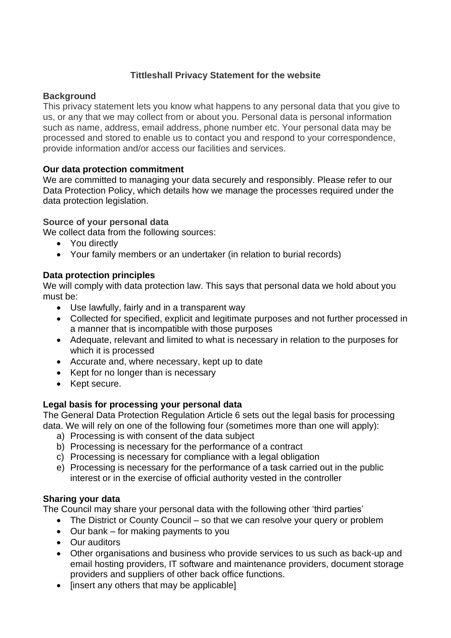# **Tittleshall Privacy Statement for the website**

#### **Background**

This privacy statement lets you know what happens to any personal data that you give to us, or any that we may collect from or about you. Personal data is personal information such as name, address, email address, phone number etc. Your personal data may be processed and stored to enable us to contact you and respond to your correspondence, provide information and/or access our facilities and services.

## **Our data protection commitment**

We are committed to managing your data securely and responsibly. Please refer to our Data Protection Policy, which details how we manage the processes required under the data protection legislation.

#### **Source of your personal data**

We collect data from the following sources:

- You directly
- Your family members or an undertaker (in relation to burial records)

## **Data protection principles**

We will comply with data protection law. This says that personal data we hold about you must be:

- Use lawfully, fairly and in a transparent way
- Collected for specified, explicit and legitimate purposes and not further processed in a manner that is incompatible with those purposes
- Adequate, relevant and limited to what is necessary in relation to the purposes for which it is processed
- Accurate and, where necessary, kept up to date
- Kept for no longer than is necessary
- Kept secure.

## **Legal basis for processing your personal data**

The General Data Protection Regulation Article 6 sets out the legal basis for processing data. We will rely on one of the following four (sometimes more than one will apply):

- a) Processing is with consent of the data subject
- b) Processing is necessary for the performance of a contract
- c) Processing is necessary for compliance with a legal obligation
- e) Processing is necessary for the performance of a task carried out in the public interest or in the exercise of official authority vested in the controller

## **Sharing your data**

The Council may share your personal data with the following other 'third parties'

- The District or County Council so that we can resolve your query or problem
- Our bank for making payments to you
- Our auditors
- Other organisations and business who provide services to us such as back-up and email hosting providers, IT software and maintenance providers, document storage providers and suppliers of other back office functions.
- [insert any others that may be applicable]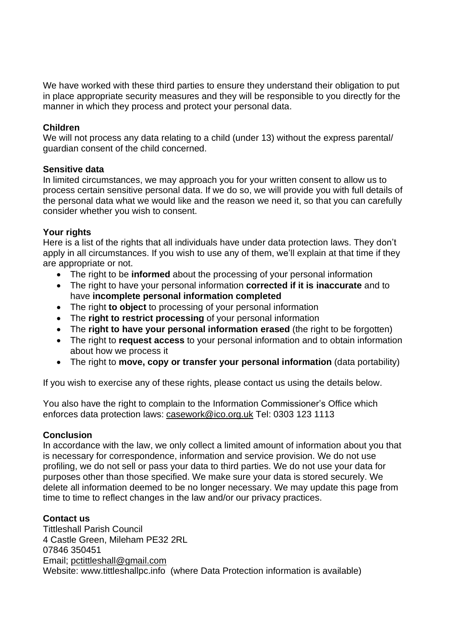We have worked with these third parties to ensure they understand their obligation to put in place appropriate security measures and they will be responsible to you directly for the manner in which they process and protect your personal data.

#### **Children**

We will not process any data relating to a child (under 13) without the express parental/ guardian consent of the child concerned.

#### **Sensitive data**

In limited circumstances, we may approach you for your written consent to allow us to process certain sensitive personal data. If we do so, we will provide you with full details of the personal data what we would like and the reason we need it, so that you can carefully consider whether you wish to consent.

#### **Your rights**

Here is a list of the rights that all individuals have under data protection laws. They don't apply in all circumstances. If you wish to use any of them, we'll explain at that time if they are appropriate or not.

- The right to be **informed** about the processing of your personal information
- The right to have your personal information **corrected if it is inaccurate** and to have **incomplete personal information completed**
- The right **to object** to processing of your personal information
- The **right to restrict processing** of your personal information
- The **right to have your personal information erased** (the right to be forgotten)
- The right to **request access** to your personal information and to obtain information about how we process it
- The right to **move, copy or transfer your personal information** (data portability)

If you wish to exercise any of these rights, please contact us using the details below.

You also have the right to complain to the Information Commissioner's Office which enforces data protection laws: [casework@ico.org.uk](mailto:casework@ico.org.uk) Tel: 0303 123 1113

## **Conclusion**

In accordance with the law, we only collect a limited amount of information about you that is necessary for correspondence, information and service provision. We do not use profiling, we do not sell or pass your data to third parties. We do not use your data for purposes other than those specified. We make sure your data is stored securely. We delete all information deemed to be no longer necessary. We may update this page from time to time to reflect changes in the law and/or our privacy practices.

## **Contact us**

Tittleshall Parish Council 4 Castle Green, Mileham PE32 2RL 07846 350451 Email; [pctittleshall@gmail.com](mailto:pctittleshall@gmail.com) Website: www.tittleshallpc.info (where Data Protection information is available)